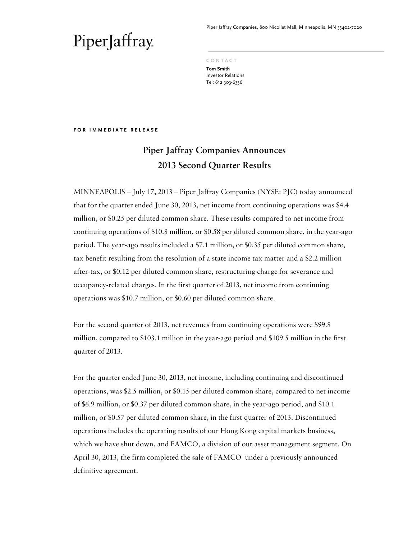Piper Jaffray Companies, 800 Nicollet Mall, Minneapolis, MN 55402-7020

**C O N T A C T** 

**Tom Smith**  Investor Relations Tel: 612 303-6336

**F O R I M M E D I A T E R E L E A S E** 

### **Piper Jaffray Companies Announces 2013 Second Quarter Results**

MINNEAPOLIS – July 17, 2013 – Piper Jaffray Companies (NYSE: PJC) today announced that for the quarter ended June 30, 2013, net income from continuing operations was \$4.4 million, or \$0.25 per diluted common share. These results compared to net income from continuing operations of \$10.8 million, or \$0.58 per diluted common share, in the year-ago period. The year-ago results included a \$7.1 million, or \$0.35 per diluted common share, tax benefit resulting from the resolution of a state income tax matter and a \$2.2 million after-tax, or \$0.12 per diluted common share, restructuring charge for severance and occupancy-related charges. In the first quarter of 2013, net income from continuing operations was \$10.7 million, or \$0.60 per diluted common share.

For the second quarter of 2013, net revenues from continuing operations were \$99.8 million, compared to \$103.1 million in the year-ago period and \$109.5 million in the first quarter of 2013.

For the quarter ended June 30, 2013, net income, including continuing and discontinued operations, was \$2.5 million, or \$0.15 per diluted common share, compared to net income of \$6.9 million, or \$0.37 per diluted common share, in the year-ago period, and \$10.1 million, or \$0.57 per diluted common share, in the first quarter of 2013. Discontinued operations includes the operating results of our Hong Kong capital markets business, which we have shut down, and FAMCO, a division of our asset management segment. On April 30, 2013, the firm completed the sale of FAMCO under a previously announced definitive agreement.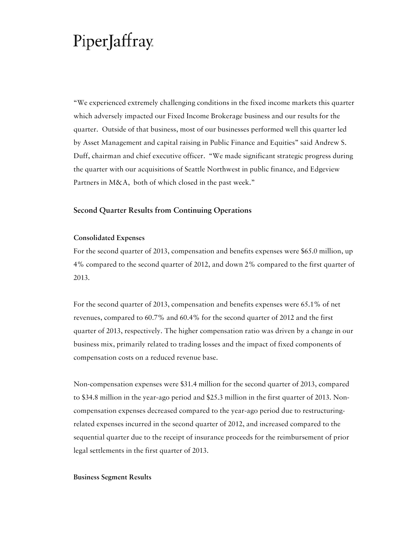"We experienced extremely challenging conditions in the fixed income markets this quarter which adversely impacted our Fixed Income Brokerage business and our results for the quarter. Outside of that business, most of our businesses performed well this quarter led by Asset Management and capital raising in Public Finance and Equities" said Andrew S. Duff, chairman and chief executive officer. "We made significant strategic progress during the quarter with our acquisitions of Seattle Northwest in public finance, and Edgeview Partners in M&A, both of which closed in the past week."

#### **Second Quarter Results from Continuing Operations**

#### **Consolidated Expenses**

For the second quarter of 2013, compensation and benefits expenses were \$65.0 million, up 4% compared to the second quarter of 2012, and down 2% compared to the first quarter of 2013.

For the second quarter of 2013, compensation and benefits expenses were 65.1% of net revenues, compared to 60.7% and 60.4% for the second quarter of 2012 and the first quarter of 2013, respectively. The higher compensation ratio was driven by a change in our business mix, primarily related to trading losses and the impact of fixed components of compensation costs on a reduced revenue base.

Non-compensation expenses were \$31.4 million for the second quarter of 2013, compared to \$34.8 million in the year-ago period and \$25.3 million in the first quarter of 2013. Noncompensation expenses decreased compared to the year-ago period due to restructuringrelated expenses incurred in the second quarter of 2012, and increased compared to the sequential quarter due to the receipt of insurance proceeds for the reimbursement of prior legal settlements in the first quarter of 2013.

#### **Business Segment Results**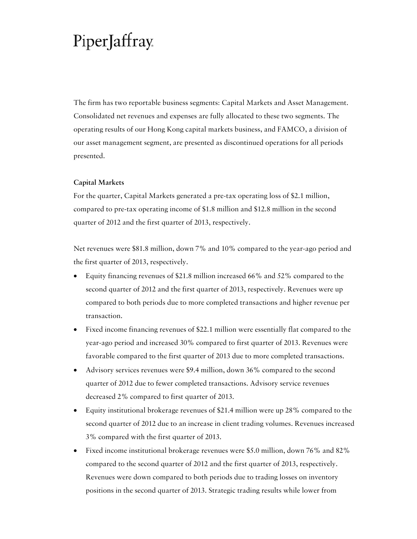The firm has two reportable business segments: Capital Markets and Asset Management. Consolidated net revenues and expenses are fully allocated to these two segments. The operating results of our Hong Kong capital markets business, and FAMCO, a division of our asset management segment, are presented as discontinued operations for all periods presented.

#### **Capital Markets**

For the quarter, Capital Markets generated a pre-tax operating loss of \$2.1 million, compared to pre-tax operating income of \$1.8 million and \$12.8 million in the second quarter of 2012 and the first quarter of 2013, respectively.

Net revenues were \$81.8 million, down 7% and 10% compared to the year-ago period and the first quarter of 2013, respectively.

- Equity financing revenues of \$21.8 million increased 66% and 52% compared to the second quarter of 2012 and the first quarter of 2013, respectively. Revenues were up compared to both periods due to more completed transactions and higher revenue per transaction.
- Fixed income financing revenues of \$22.1 million were essentially flat compared to the year-ago period and increased 30% compared to first quarter of 2013. Revenues were favorable compared to the first quarter of 2013 due to more completed transactions.
- Advisory services revenues were \$9.4 million, down 36% compared to the second quarter of 2012 due to fewer completed transactions. Advisory service revenues decreased 2% compared to first quarter of 2013.
- Equity institutional brokerage revenues of \$21.4 million were up 28% compared to the second quarter of 2012 due to an increase in client trading volumes. Revenues increased 3% compared with the first quarter of 2013.
- Fixed income institutional brokerage revenues were \$5.0 million, down 76% and 82% compared to the second quarter of 2012 and the first quarter of 2013, respectively. Revenues were down compared to both periods due to trading losses on inventory positions in the second quarter of 2013. Strategic trading results while lower from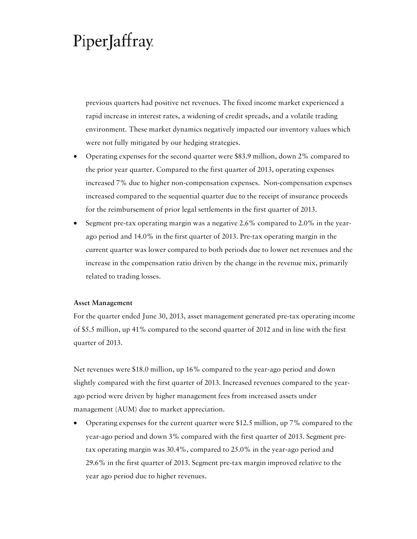previous quarters had positive net revenues. The fixed income market experienced a rapid increase in interest rates, a widening of credit spreads, and a volatile trading environment. These market dynamics negatively impacted our inventory values which were not fully mitigated by our hedging strategies.

- Operating expenses for the second quarter were \$83.9 million, down 2% compared to the prior year quarter. Compared to the first quarter of 2013, operating expenses increased 7% due to higher non-compensation expenses. Non-compensation expenses increased compared to the sequential quarter due to the receipt of insurance proceeds for the reimbursement of prior legal settlements in the first quarter of 2013.
- Segment pre-tax operating margin was a negative 2.6% compared to 2.0% in the yearago period and 14.0% in the first quarter of 2013. Pre-tax operating margin in the current quarter was lower compared to both periods due to lower net revenues and the increase in the compensation ratio driven by the change in the revenue mix, primarily related to trading losses.

#### **Asset Management**

For the quarter ended June 30, 2013, asset management generated pre-tax operating income of \$5.5 million, up 41% compared to the second quarter of 2012 and in line with the first quarter of 2013.

Net revenues were \$18.0 million, up 16% compared to the year-ago period and down slightly compared with the first quarter of 2013. Increased revenues compared to the yearago period were driven by higher management fees from increased assets under management (AUM) due to market appreciation.

• Operating expenses for the current quarter were \$12.5 million, up 7% compared to the year-ago period and down 3% compared with the first quarter of 2013. Segment pretax operating margin was 30.4%, compared to 25.0% in the year-ago period and 29.6% in the first quarter of 2013. Segment pre-tax margin improved relative to the year ago period due to higher revenues.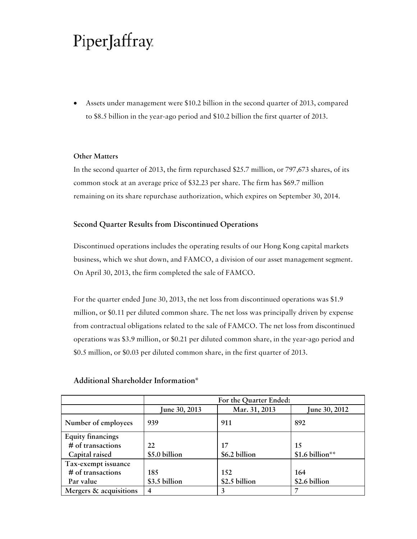• Assets under management were \$10.2 billion in the second quarter of 2013, compared to \$8.5 billion in the year-ago period and \$10.2 billion the first quarter of 2013.

#### **Other Matters**

In the second quarter of 2013, the firm repurchased \$25.7 million, or 797,673 shares, of its common stock at an average price of \$32.23 per share. The firm has \$69.7 million remaining on its share repurchase authorization, which expires on September 30, 2014.

#### **Second Quarter Results from Discontinued Operations**

Discontinued operations includes the operating results of our Hong Kong capital markets business, which we shut down, and FAMCO, a division of our asset management segment. On April 30, 2013, the firm completed the sale of FAMCO.

For the quarter ended June 30, 2013, the net loss from discontinued operations was \$1.9 million, or \$0.11 per diluted common share. The net loss was principally driven by expense from contractual obligations related to the sale of FAMCO. The net loss from discontinued operations was \$3.9 million, or \$0.21 per diluted common share, in the year-ago period and \$0.5 million, or \$0.03 per diluted common share, in the first quarter of 2013.

|                          | For the Quarter Ended: |               |                      |  |  |  |  |  |
|--------------------------|------------------------|---------------|----------------------|--|--|--|--|--|
|                          | June 30, 2013          | Mar. 31, 2013 | <b>June 30, 2012</b> |  |  |  |  |  |
| Number of employees      | 939                    | 911           | 892                  |  |  |  |  |  |
| <b>Equity financings</b> |                        |               |                      |  |  |  |  |  |
| # of transactions        | 22                     | 17            | 15                   |  |  |  |  |  |
| Capital raised           | \$5.0 billion          | \$6.2 billion | \$1.6 billion**      |  |  |  |  |  |
| Tax-exempt issuance      |                        |               |                      |  |  |  |  |  |
| # of transactions        | 185                    | 152           | 164                  |  |  |  |  |  |
| Par value                | \$3.5 billion          | \$2.5 billion | \$2.6 billion        |  |  |  |  |  |
| Mergers & acquisitions   | 4                      | 3             | 7                    |  |  |  |  |  |

#### **Additional Shareholder Information\***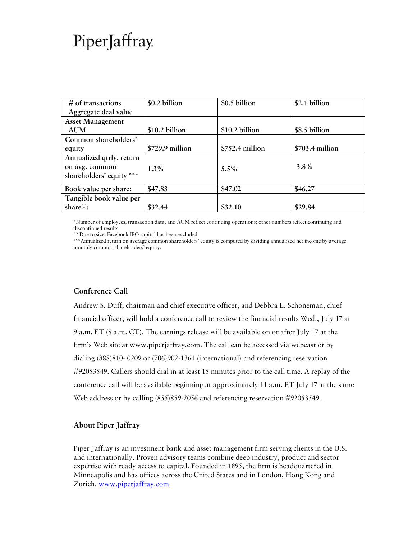| # of transactions        | \$0.2 billion   | \$0.5 billion    | \$2.1 billion   |
|--------------------------|-----------------|------------------|-----------------|
| Aggregate deal value     |                 |                  |                 |
| <b>Asset Management</b>  |                 |                  |                 |
| <b>AUM</b>               | \$10.2 billion  | \$10.2 billion   | \$8.5 billion   |
| Common shareholders'     |                 |                  |                 |
| equity                   | \$729.9 million | $$752.4$ million | \$703.4 million |
| Annualized qtrly. return |                 |                  |                 |
| on avg. common           | $1.3\%$         | $5.5\%$          | $3.8\%$         |
| shareholders' equity *** |                 |                  |                 |
| Book value per share:    | \$47.83         | \$47.02          | \$46.27         |
| Tangible book value per  |                 |                  |                 |
| share $(1)$ :            | \$32.44         | \$32.10          | \$29.84         |

\*Number of employees, transaction data, and AUM reflect continuing operations; other numbers reflect continuing and discontinued results.

\*\* Due to size, Facebook IPO capital has been excluded

\*\*\*Annualized return on average common shareholders' equity is computed by dividing annualized net income by average monthly common shareholders' equity.

### **Conference Call**

Andrew S. Duff, chairman and chief executive officer, and Debbra L. Schoneman, chief financial officer, will hold a conference call to review the financial results Wed., July 17 at 9 a.m. ET (8 a.m. CT). The earnings release will be available on or after July 17 at the firm's Web site at www.piperjaffray.com. The call can be accessed via webcast or by dialing (888)810- 0209 or (706)902-1361 (international) and referencing reservation #92053549. Callers should dial in at least 15 minutes prior to the call time. A replay of the conference call will be available beginning at approximately 11 a.m. ET July 17 at the same Web address or by calling (855)859-2056 and referencing reservation #92053549 .

### **About Piper Jaffray**

Piper Jaffray is an investment bank and asset management firm serving clients in the U.S. and internationally. Proven advisory teams combine deep industry, product and sector expertise with ready access to capital. Founded in 1895, the firm is headquartered in Minneapolis and has offices across the United States and in London, Hong Kong and Zurich. www.piperjaffray.com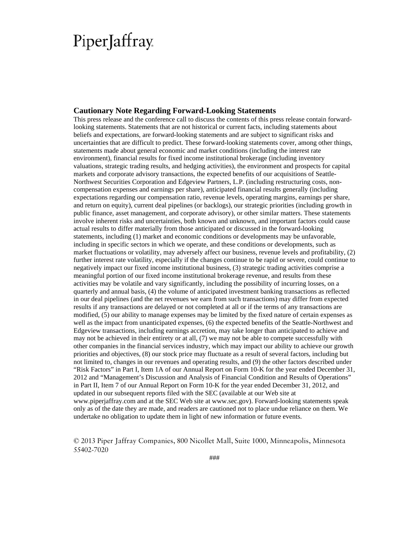#### **Cautionary Note Regarding Forward-Looking Statements**

This press release and the conference call to discuss the contents of this press release contain forwardlooking statements. Statements that are not historical or current facts, including statements about beliefs and expectations, are forward-looking statements and are subject to significant risks and uncertainties that are difficult to predict. These forward-looking statements cover, among other things, statements made about general economic and market conditions (including the interest rate environment), financial results for fixed income institutional brokerage (including inventory valuations, strategic trading results, and hedging activities), the environment and prospects for capital markets and corporate advisory transactions, the expected benefits of our acquisitions of Seattle-Northwest Securities Corporation and Edgeview Partners, L.P. (including restructuring costs, noncompensation expenses and earnings per share), anticipated financial results generally (including expectations regarding our compensation ratio, revenue levels, operating margins, earnings per share, and return on equity), current deal pipelines (or backlogs), our strategic priorities (including growth in public finance, asset management, and corporate advisory), or other similar matters. These statements involve inherent risks and uncertainties, both known and unknown, and important factors could cause actual results to differ materially from those anticipated or discussed in the forward-looking statements, including (1) market and economic conditions or developments may be unfavorable, including in specific sectors in which we operate, and these conditions or developments, such as market fluctuations or volatility, may adversely affect our business, revenue levels and profitability, (2) further interest rate volatility, especially if the changes continue to be rapid or severe, could continue to negatively impact our fixed income institutional business, (3) strategic trading activities comprise a meaningful portion of our fixed income institutional brokerage revenue, and results from these activities may be volatile and vary significantly, including the possibility of incurring losses, on a quarterly and annual basis, (4) the volume of anticipated investment banking transactions as reflected in our deal pipelines (and the net revenues we earn from such transactions) may differ from expected results if any transactions are delayed or not completed at all or if the terms of any transactions are modified, (5) our ability to manage expenses may be limited by the fixed nature of certain expenses as well as the impact from unanticipated expenses, (6) the expected benefits of the Seattle-Northwest and Edgeview transactions, including earnings accretion, may take longer than anticipated to achieve and may not be achieved in their entirety or at all, (7) we may not be able to compete successfully with other companies in the financial services industry, which may impact our ability to achieve our growth priorities and objectives, (8) our stock price may fluctuate as a result of several factors, including but not limited to, changes in our revenues and operating results, and (9) the other factors described under "Risk Factors" in Part I, Item 1A of our Annual Report on Form 10-K for the year ended December 31, 2012 and "Management's Discussion and Analysis of Financial Condition and Results of Operations" in Part II, Item 7 of our Annual Report on Form 10-K for the year ended December 31, 2012, and updated in our subsequent reports filed with the SEC (available at our Web site at www.piperjaffray.com and at the SEC Web site at www.sec.gov). Forward-looking statements speak only as of the date they are made, and readers are cautioned not to place undue reliance on them. We undertake no obligation to update them in light of new information or future events.

© 2013 Piper Jaffray Companies, 800 Nicollet Mall, Suite 1000, Minneapolis, Minnesota 55402-7020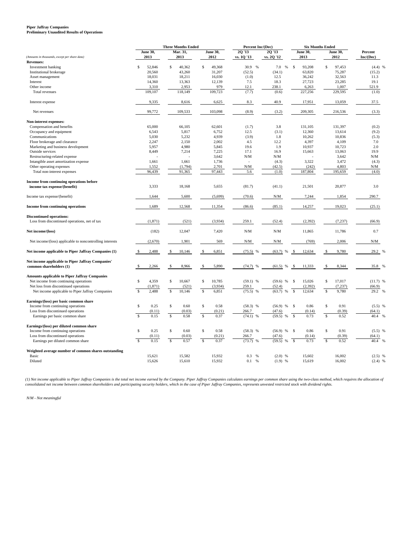### **Piper Jaffray Companies Preliminary Unaudited Results of Operations**

|                                                                              | <b>Three Months Ended</b>       |                                  | Percent Inc/(Dec)       |                | <b>Six Months Ended</b> |                                  |                                  |            |
|------------------------------------------------------------------------------|---------------------------------|----------------------------------|-------------------------|----------------|-------------------------|----------------------------------|----------------------------------|------------|
|                                                                              | <b>June 30,</b>                 | Mar. 31,                         | <b>June 30,</b>         | 20 '13         | 20'13                   | <b>June 30,</b>                  | <b>June 30,</b>                  | Percent    |
| (Amounts in thousands, except per share data)                                | 2013                            | 2013                             | 2012                    | vs. 1Q '13     | vs. 2Q '12              | 2013                             | 2012                             | Inc/(Dec)  |
| <b>Revenues:</b>                                                             |                                 |                                  |                         |                |                         |                                  |                                  |            |
| Investment banking                                                           | \$<br>52,846                    | S<br>40,362                      | 49,368<br>\$            | 30.9 %         | 7.0<br>$\%$             | $\mathbf{\hat{s}}$<br>93,208     | \$<br>97,453                     | $(4.4)$ %  |
| Institutional brokerage                                                      | 20,560                          | 43,260                           | 31,207                  | (52.5)         | (34.1)                  | 63,820                           | 75,287                           | (15.2)     |
| Asset management                                                             | 18,031                          | 18,211                           | 16,030                  | (1.0)          | 12.5                    | 36,242                           | 32,563                           | 11.3       |
| Interest                                                                     | 14,360                          | 13,363                           | 12,139                  | 7.5            | 18.3                    | 27,723                           | 23,285                           | 19.1       |
| Other income                                                                 | 3,310                           | 2,953                            | 979                     | 12.1           | 238.1                   | 6,263                            | 1.007                            | 521.9      |
| Total revenues                                                               | 109,107                         | 118,149                          | 109,723                 | (7.7)          | (0.6)                   | 227,256                          | 229,595                          | (1.0)      |
| Interest expense                                                             | 9,335                           | 8,616                            | 6,625                   | 8.3            | 40.9                    | 17,951                           | 13,059                           | 37.5       |
| Net revenues                                                                 | 99,772                          | 109,533                          | 103,098                 | (8.9)          | (3.2)                   | 209,305                          | 216,536                          | (3.3)      |
| Non-interest expenses:                                                       |                                 |                                  |                         |                |                         |                                  |                                  |            |
| Compensation and benefits                                                    | 65,000                          | 66,105                           | 62,601                  | (1.7)          | 3.8                     | 131,105                          | 131,397                          | (0.2)      |
| Occupancy and equipment                                                      | 6,543                           | 5,817                            | 6,752                   | 12.5           | (3.1)                   | 12,360                           | 13,614                           | (9.2)      |
| Communications                                                               | 5,030                           | 5,232                            | 4,939                   | (3.9)          | 1.8                     | 10,262                           | 10,836                           | (5.3)      |
| Floor brokerage and clearance                                                | 2,247                           | 2,150                            | 2,002                   | 4.5            | 12.2                    | 4,397                            | 4,109                            | 7.0        |
| Marketing and business development                                           | 5,957                           | 4,980                            | 5,845                   | 19.6           | 1.9                     | 10,937                           | 10,723                           | 2.0        |
| Outside services                                                             | 8,449                           | 7,214                            | 7,225                   | 17.1           | 16.9                    | 15,663                           | 13,063                           | 19.9       |
| Restructuring-related expense                                                |                                 |                                  | 3,642                   | N/M            | N/M                     |                                  | 3,642                            | N/M        |
| Intangible asset amortization expense                                        | 1,661                           | 1,661                            | 1,736                   |                | (4.3)                   | 3,322                            | 3,472                            | (4.3)      |
| Other operating expenses                                                     | 1,552                           | (1,794)                          | 2,701                   | N/M            | (42.5)                  | (242)                            | 4,803                            | N/M        |
| Total non-interest expenses                                                  | 96,439                          | 91,365                           | 97,443                  | 5.6            | (1.0)                   | 187,804                          | 195,659                          | (4.0)      |
| Income from continuing operations before                                     |                                 |                                  |                         |                |                         |                                  |                                  |            |
| income tax expense/(benefit)                                                 | 3,333                           | 18,168                           | 5,655                   | (81.7)         | (41.1)                  | 21,501                           | 20,877                           | 3.0        |
| Income tax expense/(benefit)                                                 | 1,644                           | 5,600                            | (5,699)                 | (70.6)         | N/M                     | 7,244                            | 1,854                            | 290.7      |
| <b>Income from continuing operations</b>                                     | 1,689                           | 12,568                           | 11,354                  | (86.6)         | (85.1)                  | 14,257                           | 19,023                           | (25.1)     |
| <b>Discontinued operations:</b>                                              |                                 |                                  |                         |                |                         |                                  |                                  |            |
| Loss from discontinued operations, net of tax                                | (1, 871)                        | (521)                            | (3,934)                 | 259.1          | (52.4)                  | (2, 392)                         | (7, 237)                         | (66.9)     |
| Net income/(loss)                                                            | (182)                           | 12,047                           | 7,420                   | N/M            | N/M                     | 11,865                           | 11,786                           | 0.7        |
| Net income/(loss) applicable to noncontrolling interests                     | (2,670)                         | 1,901                            | 569                     | N/M            | N/M                     | (769)                            | 2,006                            | N/M        |
| Net income applicable to Piper Jaffray Companies (1)                         | 2,488                           | 10,146                           | 6,851                   | (75.5)         | (63.7)                  | 12,634                           | 9,780                            | 29.2       |
|                                                                              |                                 |                                  |                         |                |                         |                                  |                                  |            |
| Net income applicable to Piper Jaffray Companies'<br>common shareholders (1) | 2,266                           | 8,966<br>\$                      | 5,890                   | (74.7)<br>%    | (61.5)<br>%             | 11,333<br>\$                     | 8,344<br>\$                      | 35.8       |
|                                                                              |                                 |                                  |                         |                |                         |                                  |                                  |            |
| <b>Amounts applicable to Piper Jaffray Companies</b>                         |                                 |                                  |                         |                |                         |                                  |                                  |            |
| Net income from continuing operations                                        | \$<br>4,359                     | 10,667<br>\$                     | 10,785<br>\$            | $(59.1)$ %     | $(59.6)$ %              | 15,026<br>-S                     | \$<br>17,017                     | $(11.7)$ % |
| Net loss from discontinued operations                                        | (1,871)                         | (521)                            | (3,934)                 | 259.1          | (52.4)                  | (2, 392)                         | (7, 237)                         | (66.9)     |
| Net income applicable to Piper Jaffray Companies                             | $\mathbf S$<br>2,488            | $\mathbb S$<br>10,146            | $\mathfrak{S}$<br>6,851 | (75.5)<br>$\%$ | (63.7)<br>%             | 12,634<br>\$                     | $\mathbf{\hat{s}}$<br>9,780      | 29.2<br>%  |
| Earnings/(loss) per basic common share                                       |                                 |                                  |                         |                |                         |                                  |                                  |            |
| Income from continuing operations                                            | 0.25<br>\$                      | $\mathbb{S}$<br>0.60             | $\mathbb{S}$<br>0.58    | $(58.3)$ %     | (56.9)<br>%             | 0.86<br>$\mathbb{S}$             | \$<br>0.91                       | $(5.5)$ %  |
| Loss from discontinued operations                                            | (0.11)                          | (0.03)                           | (0.21)                  | 266.7          | (47.6)                  | (0.14)                           | (0.39)                           | (64.1)     |
| Earnings per basic common share                                              | $\mathbf S$<br>0.15             | $\overline{\mathsf{s}}$<br>0.58  | $\overline{s}$<br>0.37  | $(74.1)$ %     | (59.5)<br>%             | $\mathbf{s}$<br>0.73             | $\mathbf{\hat{s}}$<br>0.52       | 40.4<br>%  |
| Earnings/(loss) per diluted common share                                     |                                 |                                  |                         |                |                         |                                  |                                  |            |
| Income from continuing operations                                            | \$<br>0.25                      | $\mathbb{S}$<br>0.60             | $\mathbb{S}$<br>0.58    | $(58.3)$ %     | (56.9)<br>%             | $\mathcal{S}$<br>0.86            | $\mathbb{S}$<br>0.91             | $(5.5)$ %  |
| Loss from discontinued operations                                            | (0.11)                          | (0.03)                           | (0.21)                  | 266.7          | (47.6)                  | (0.14)                           | (0.39)                           | (64.1)     |
| Earnings per diluted common share                                            | $\overline{\mathbf{s}}$<br>0.15 | $\overline{\mathcal{S}}$<br>0.57 | $\sqrt{S}$<br>0.37      | $(73.7)$ %     | (59.5)<br>%             | $\overline{\mathcal{S}}$<br>0.73 | $\overline{\mathcal{S}}$<br>0.52 | 40.4<br>%  |
| Weighted average number of common shares outstanding                         |                                 |                                  |                         |                |                         |                                  |                                  |            |
| Basic                                                                        | 15,621                          | 15,582                           | 15,932                  | 0.3<br>$\%$    | $(2.0)$ %               | 15,602                           | 16,002                           | $(2.5)$ %  |
| Diluted                                                                      | 15,626                          | 15,610                           | 15,932                  | $0.1\%$        | $(1.9)$ %               | 15,619                           | 16,002                           | $(2.4)$ %  |

(1) Net income applicable to Piper Jaffray Companies is the total net income earned by the Company. Piper Jaffray Companies calculates earnings per common share using the two-class method, which requires the allocation of<br>

*N/M - Not meaningful*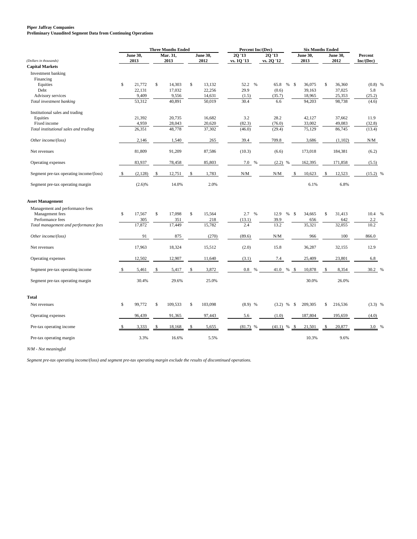#### **Piper Jaffray Companies**

**Preliminary Unaudited Segment Data from Continuing Operations**

|                                               | <b>Three Months Ended</b> |    |          |    |          | Percent Inc/(Dec)                             |               |                                               | <b>Six Months Ended</b> |                 |    |                 |            |   |
|-----------------------------------------------|---------------------------|----|----------|----|----------|-----------------------------------------------|---------------|-----------------------------------------------|-------------------------|-----------------|----|-----------------|------------|---|
|                                               | June 30,                  |    | Mar. 31, |    | June 30, | 20'13                                         |               | 20 '13                                        |                         | <b>June 30.</b> |    | <b>June 30,</b> | Percent    |   |
| (Dollars in thousands)                        | 2013                      |    | 2013     |    | 2012     | vs. 1Q '13                                    |               | vs. 2Q '12                                    |                         | 2013            |    | 2012            | Inc/(Dec)  |   |
| <b>Capital Markets</b>                        |                           |    |          |    |          |                                               |               |                                               |                         |                 |    |                 |            |   |
| Investment banking                            |                           |    |          |    |          |                                               |               |                                               |                         |                 |    |                 |            |   |
| Financing                                     |                           |    |          |    |          |                                               |               |                                               |                         |                 |    |                 |            |   |
| Equities<br>\$                                | 21,772                    | \$ | 14,303   | \$ | 13,132   | 52.2                                          | $\%$          | 65.8<br>%                                     | -\$                     | 36,075          | \$ | 36,360          | $(0.8)$ %  |   |
| Debt                                          | 22,131                    |    | 17,032   |    | 22,256   | 29.9                                          |               | (0.6)                                         |                         | 39,163          |    | 37,025          | 5.8        |   |
| Advisory services                             | 9,409                     |    | 9,556    |    | 14,631   | (1.5)                                         |               | (35.7)                                        |                         | 18,965          |    | 25,353          | (25.2)     |   |
| Total investment banking                      | 53,312                    |    | 40,891   |    | 50,019   | 30.4                                          |               | 6.6                                           |                         | 94,203          |    | 98,738          | (4.6)      |   |
| Institutional sales and trading               |                           |    |          |    |          |                                               |               |                                               |                         |                 |    |                 |            |   |
| Equities                                      | 21,392                    |    | 20,735   |    | 16,682   | 3.2                                           |               | 28.2                                          |                         | 42,127          |    | 37,662          | 11.9       |   |
| Fixed income                                  | 4,959                     |    | 28,043   |    | 20,620   | (82.3)                                        |               | (76.0)                                        |                         | 33,002          |    | 49,083          | (32.8)     |   |
| Total institutional sales and trading         | 26,351                    |    | 48,778   |    | 37,302   | (46.0)                                        |               | (29.4)                                        |                         | 75,129          |    | 86,745          | (13.4)     |   |
| Other income/(loss)                           | 2,146                     |    | 1,540    |    | 265      | 39.4                                          |               | 709.8                                         |                         | 3,686           |    | (1,102)         | N/M        |   |
| Net revenues                                  | 81,809                    |    | 91,209   |    | 87,586   | (10.3)                                        |               | (6.6)                                         |                         | 173,018         |    | 184,381         | (6.2)      |   |
| Operating expenses                            | 83,937                    |    | 78,458   |    | 85,803   | 7.0 %                                         |               | $(2.2)$ %                                     |                         | 162,395         |    | 171,858         | (5.5)      |   |
|                                               |                           |    |          |    |          |                                               |               |                                               |                         |                 |    |                 |            |   |
| Segment pre-tax operating income/(loss)<br>\$ | (2,128)                   | \$ | 12,751   | \$ | 1,783    | $\ensuremath{\text{N}}/\ensuremath{\text{M}}$ |               | $\ensuremath{\text{N}}/\ensuremath{\text{M}}$ | \$                      | 10,623          | \$ | 12,523          | $(15.2)$ % |   |
| Segment pre-tax operating margin              | (2.6)%                    |    | 14.0%    |    | 2.0%     |                                               |               |                                               |                         | 6.1%            |    | 6.8%            |            |   |
| <b>Asset Management</b>                       |                           |    |          |    |          |                                               |               |                                               |                         |                 |    |                 |            |   |
| Management and performance fees               |                           |    |          |    |          |                                               |               |                                               |                         |                 |    |                 |            |   |
| \$<br>Management fees                         | 17,567                    | \$ | 17,098   | \$ | 15,564   | 2.7 %                                         |               | 12.9<br>$\%$                                  | -\$                     | 34,665          | \$ | 31,413          | 10.4 %     |   |
| Performance fees                              | 305                       |    | 351      |    | 218      | (13.1)                                        |               | 39.9                                          |                         | 656             |    | 642             | 2.2        |   |
| Total management and performance fees         | 17,872                    |    | 17,449   |    | 15,782   | 2.4                                           |               | 13.2                                          |                         | 35,321          |    | 32,055          | 10.2       |   |
|                                               |                           |    |          |    |          |                                               |               |                                               |                         |                 |    |                 |            |   |
| Other income/(loss)                           | 91                        |    | 875      |    | (270)    | (89.6)                                        |               | N/M                                           |                         | 966             |    | 100             | 866.0      |   |
| Net revenues                                  | 17,963                    |    | 18,324   |    | 15,512   | (2.0)                                         |               | 15.8                                          |                         | 36,287          |    | 32,155          | 12.9       |   |
| Operating expenses                            | 12,502                    |    | 12,907   |    | 11,640   | (3.1)                                         |               | 7.4                                           |                         | 25,409          |    | 23,801          | 6.8        |   |
|                                               |                           |    |          |    |          |                                               |               |                                               |                         |                 |    |                 |            |   |
| Segment pre-tax operating income<br>\$        | 5,461                     | S  | 5,417    | \$ | 3,872    | 0.8                                           | $\frac{0}{6}$ | 41.0<br>%                                     | - \$                    | 10,878          | \$ | 8,354           | 30.2 %     |   |
| Segment pre-tax operating margin              | 30.4%                     |    | 29.6%    |    | 25.0%    |                                               |               |                                               |                         | 30.0%           |    | 26.0%           |            |   |
| <b>Total</b>                                  |                           |    |          |    |          |                                               |               |                                               |                         |                 |    |                 |            |   |
| \$<br>Net revenues                            | 99,772                    | \$ | 109,533  | \$ | 103,098  | $(8.9)$ %                                     |               | $(3.2)$ %                                     | \$                      | 209,305         | \$ | 216,536         | $(3.3)$ %  |   |
| Operating expenses                            | 96,439                    |    | 91,365   |    | 97,443   | 5.6                                           |               | (1.0)                                         |                         | 187,804         |    | 195,659         | (4.0)      |   |
| Pre-tax operating income                      | 3,333                     |    | 18,168   |    | 5,655    | (81.7)                                        |               | (41.1)<br>$\%$                                |                         | 21,501          |    | 20,877          | 3.0        | % |
| Pre-tax operating margin                      | 3.3%                      |    | 16.6%    |    | 5.5%     |                                               |               |                                               |                         | 10.3%           |    | 9.6%            |            |   |

*N/M - Not meaningful*

*Segment pre-tax operating income/(loss) and segment pre-tax operating margin exclude the results of discontinued operations.*